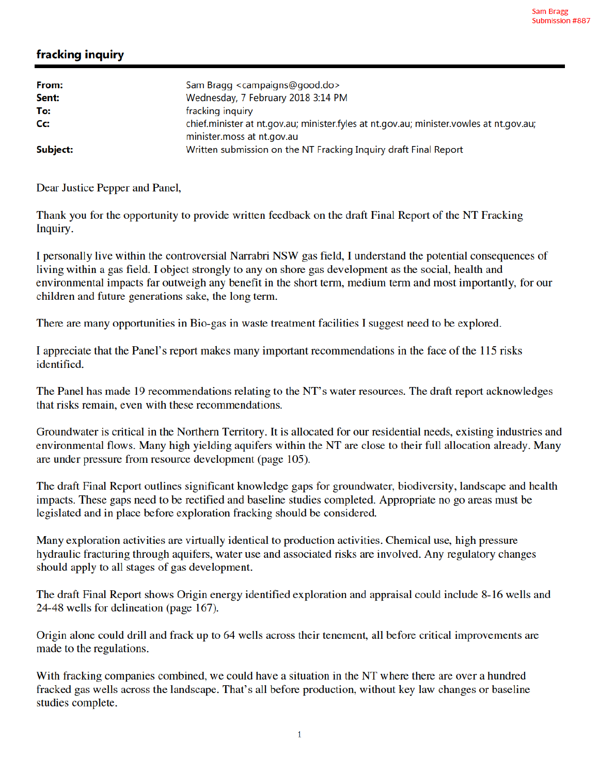## fracking inquiry

| From:<br>Sent: | Sam Bragg <campaigns@good.do><br/>Wednesday, 7 February 2018 3:14 PM</campaigns@good.do>                              |
|----------------|-----------------------------------------------------------------------------------------------------------------------|
| To:            | fracking inquiry                                                                                                      |
| Cc:            | chief.minister at nt.gov.au; minister.fyles at nt.gov.au; minister.vowles at nt.gov.au;<br>minister.moss at nt.gov.au |
| Subject:       | Written submission on the NT Fracking Inquiry draft Final Report                                                      |

Dear Justice Pepper and Panel,

Thank you for the opportunity to provide written feedback on the draft Final Report of the NT Fracking Inquiry.

I personally live within the controversial Narrabri NSW gas field, I understand the potential consequences of living within a gas field. I object strongly to any on shore gas development as the social, health and environmental impacts far outweigh any benefit in the short term, medium term and most importantly, for our children and future generations sake, the long term.

There are many opportunities in Bio-gas in waste treatment facilities I suggest need to be explored.

I appreciate that the Panel's report makes many important recommendations in the face of the 115 risks identified.

The Panel has made 19 recommendations relating to the NT's water resources. The draft report acknowledges that risks remain, even with these recommendations.

Groundwater is critical in the Northern Territory. It is allocated for our residential needs, existing industries and environmental flows. Many high yielding aquifers within the NT are close to their full allocation already. Many are under pressure from resource development (page 105).

The draft Final Report outlines significant knowledge gaps for groundwater, biodiversity, landscape and health impacts. These gaps need to be rectified and baseline studies completed. Appropriate no go areas must be legislated and in place before exploration fracking should be considered.

Many exploration activities are virtually identical to production activities. Chemical use, high pressure hydraulic fracturing through aquifers, water use and associated risks are involved. Any regulatory changes should apply to all stages of gas development.

The draft Final Report shows Origin energy identified exploration and appraisal could include 8-16 wells and 24-48 wells for delineation (page 167).

Origin alone could drill and frack up to 64 wells across their tenement, all before critical improvements are made to the regulations.

With fracking companies combined, we could have a situation in the NT where there are over a hundred fracked gas wells across the landscape. That's all before production, without key law changes or baseline studies complete.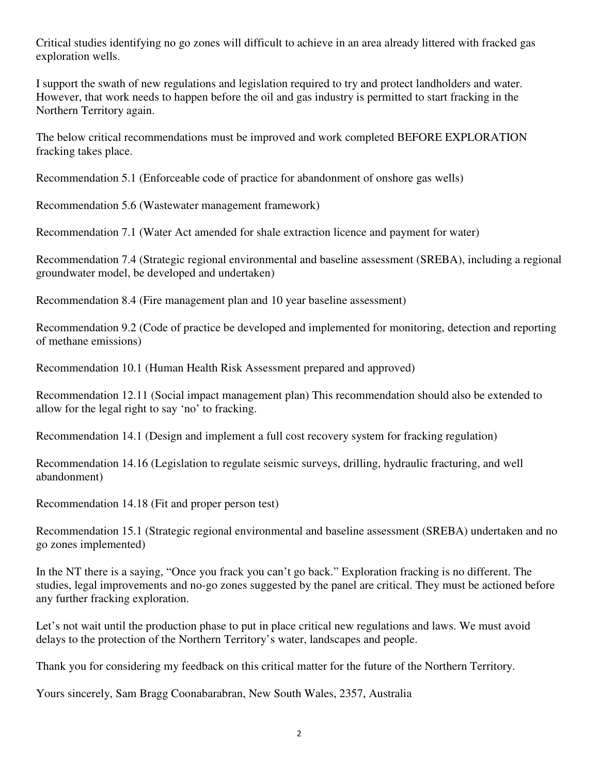Critical studies identifying no go zones will difficult to achieve in an area already littered with fracked gas exploration wells.

I support the swath of new regulations and legislation required to try and protect landholders and water. However, that work needs to happen before the oil and gas industry is permitted to start fracking in the Northern Territory again.

The below critical recommendations must be improved and work completed BEFORE EXPLORATION fracking takes place.

Recommendation 5.1 (Enforceable code of practice for abandonment of onshore gas wells)

Recommendation 5.6 (Wastewater management framework)

Recommendation 7.1 (Water Act amended for shale extraction licence and payment for water)

Recommendation 7.4 (Strategic regional environmental and baseline assessment (SREBA), including a regional groundwater model, be developed and undertaken)

Recommendation 8.4 (Fire management plan and 10 year baseline assessment)

Recommendation 9.2 (Code of practice be developed and implemented for monitoring, detection and reporting of methane emissions)

Recommendation 10.1 (Human Health Risk Assessment prepared and approved)

Recommendation 12.11 (Social impact management plan) This recommendation should also be extended to allow for the legal right to say 'no' to fracking.

Recommendation 14.1 (Design and implement a full cost recovery system for fracking regulation)

Recommendation 14.16 (Legislation to regulate seismic surveys, drilling, hydraulic fracturing, and well abandonment)

Recommendation 14.18 (Fit and proper person test)

Recommendation 15.1 (Strategic regional environmental and baseline assessment (SREBA) undertaken and no go zones implemented)

In the NT there is a saying, "Once you frack you can't go back." Exploration fracking is no different. The studies, legal improvements and no-go zones suggested by the panel are critical. They must be actioned before any further fracking exploration.

Let's not wait until the production phase to put in place critical new regulations and laws. We must avoid delays to the protection of the Northern Territory's water, landscapes and people.

Thank you for considering my feedback on this critical matter for the future of the Northern Territory.

Yours sincerely, Sam Bragg Coonabarabran, New South Wales, 2357, Australia